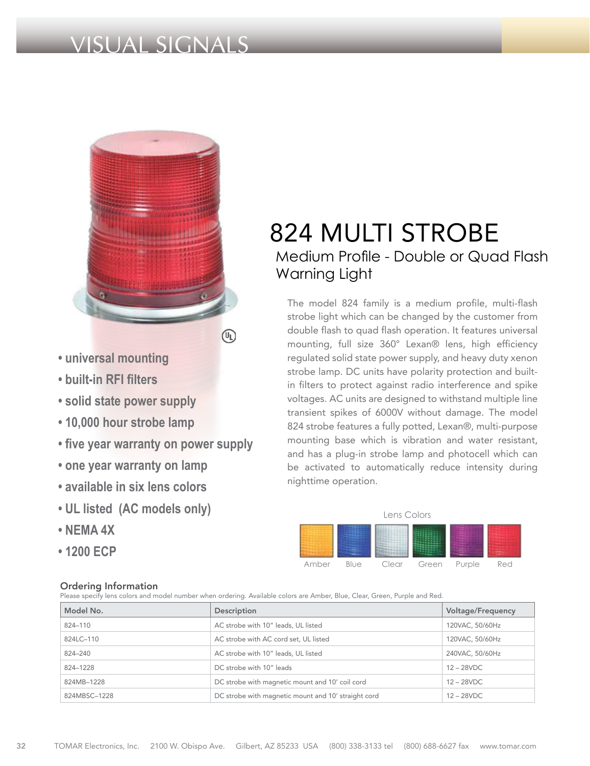## VISUAL SIGNALS



- **universal mounting**
- **built-in RFI filters**
- **solid state power supply**
- **10,000 hour strobe lamp**
- **five year warranty on power supply**
- **one year warranty on lamp**
- **available in six lens colors**
- **UL listed (AC models only)**
- **NEMA 4X**
- **1200 ECP**

## Ordering Information

824 MULTI STROBE Medium Profile - Double or Quad Flash Warning Light

The model 824 family is a medium profile, multi-flash strobe light which can be changed by the customer from double flash to quad flash operation. It features universal mounting, full size 360° Lexan® lens, high efficiency regulated solid state power supply, and heavy duty xenon strobe lamp. DC units have polarity protection and builtin filters to protect against radio interference and spike voltages. AC units are designed to withstand multiple line transient spikes of 6000V without damage. The model 824 strobe features a fully potted, Lexan®, multi-purpose mounting base which is vibration and water resistant, and has a plug-in strobe lamp and photocell which can be activated to automatically reduce intensity during nighttime operation.



#### Please specify lens colors and model number when ordering. Available colors are Amber, Blue, Clear, Green, Purple and Red.

| Model No.    | Description                                         | Voltage/Frequency |
|--------------|-----------------------------------------------------|-------------------|
| 824-110      | AC strobe with 10" leads, UL listed                 | 120VAC, 50/60Hz   |
| 824LC-110    | AC strobe with AC cord set, UL listed               | 120VAC, 50/60Hz   |
| 824-240      | AC strobe with 10" leads, UL listed                 | 240VAC, 50/60Hz   |
| 824-1228     | DC strobe with 10" leads                            | $12 - 28$ VDC     |
| 824MB-1228   | DC strobe with magnetic mount and 10' coil cord     | $12 - 28$ VDC     |
| 824MBSC-1228 | DC strobe with magnetic mount and 10' straight cord | $12 - 28$ VDC     |